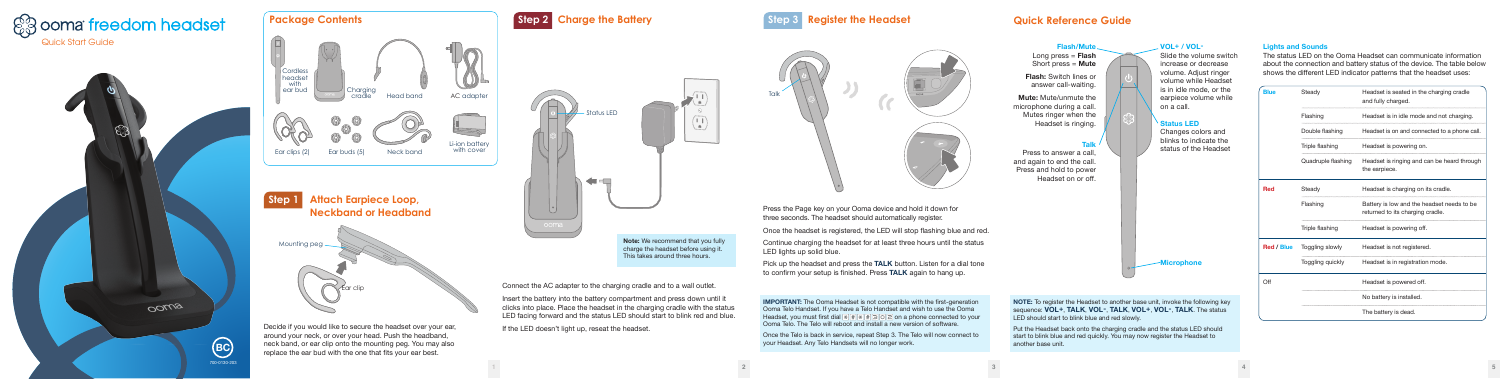| charging cradle<br>.<br>.   |  |  |  |  |
|-----------------------------|--|--|--|--|
| nd not charging.            |  |  |  |  |
| ted to a phone call.        |  |  |  |  |
|                             |  |  |  |  |
| n be heard through          |  |  |  |  |
| s cradle.                   |  |  |  |  |
| adset needs to be<br>radle. |  |  |  |  |
|                             |  |  |  |  |
|                             |  |  |  |  |
| mode.                       |  |  |  |  |
|                             |  |  |  |  |
|                             |  |  |  |  |
|                             |  |  |  |  |

**Note:** We recommend that you fully charge the headset before using it. This takes around three hours.

Insert the battery into the battery compartment and press down until it clicks into place. Place the headset in the charging cradle with the status LED facing forward and the status LED should start to blink red and blue. If the LED doesn't light up, reseat the headset.

# **Step 2 Charge the Battery Community Step 3 Register the Headset Communication Communication Communication Communication Communication Communication Communication Communication Communication Communication Communication Com**

Connect the AC adapter to the charging cradle and to a wall outlet.

Press the Page key on your Ooma device and hold it down for three seconds. The headset should automatically register.

Once the headset is registered, the LED will stop flashing blue and red.

Continue charging the headset for at least three hours until the status LED lights up solid blue.

Pick up the headset and press the **TALK** button. Listen for a dial tone to confirm your setup is finished. Press **TALK** again to hang up.

**IMPORTANT:** The Ooma Headset is not compatible with the first-generation Ooma Telo Handset. If you have a Telo Handset and wish to use the Ooma Headset, you must first dial <u>on a phone connected</u> to your Ooma Telo. The Telo will reboot and install a new version of software.

**Talk**

Press to answer a call, and again to end the call. Press and hold to power Headset on or off.

# **VOL+ / VOL-**Slide the volume switch

increase or decrease volume. Adjust ringer volume while Headset is in idle mode, or the earpiece volume while on a call.

### **Status LED**

Changes colors and blinks to indicate the status of the Headset

**Flash/Mute** Long press = **Flash** Short press = **Mute Flash:** Switch lines or answer call-waiting. **Mute:** Mute/unmute the microphone during a call. Mutes ringer when the Headset is ringing.





Once the Telo is back in service, repeat Step 3. The Telo will now connect to your Headset. Any Telo Handsets will no longer work.



### **Lights and Sounds**

The status LED on the Ooma Headset can communicate information about the connection and battery status of the device. The table below shows the different LED indicator patterns that the headset uses:

| <b>Blue</b>       | Steady             | Headset is seated in the charging cradle<br>and fully charged.                 |
|-------------------|--------------------|--------------------------------------------------------------------------------|
|                   | Flashing           | Headset is in idle mode and not charging.                                      |
|                   | Double flashing    | Headset is on and connected to a phone call.                                   |
|                   | Triple flashing    | Headset is powering on.                                                        |
|                   | Quadruple flashing | Headset is ringing and can be heard through<br>the earpiece.                   |
| Red               | Steady             | Headset is charging on its cradle.                                             |
|                   | Flashing           | Battery is low and the headset needs to be<br>returned to its charging cradle. |
|                   | Triple flashing    | Headset is powering off.                                                       |
| <b>Red / Blue</b> | Toggling slowly    | Headset is not registered.                                                     |
|                   | Toggling quickly   | Headset is in registration mode.                                               |
| Off               |                    | Headset is powered off.                                                        |
|                   |                    | No battery is installed.                                                       |
|                   |                    | The battery is dead.                                                           |





**Microphone**

**NOTE:** To register the Headset to another base unit, invoke the following key sequence: **VOL+**, **TALK**, **VOL-**, **TALK**, **VOL+**, **VOL-**, **TALK**. The status LED should start to blink blue and red slowly.

Put the Headset back onto the charging cradle and the status LED should start to blink blue and red quickly. You may now register the Headset to another base unit.